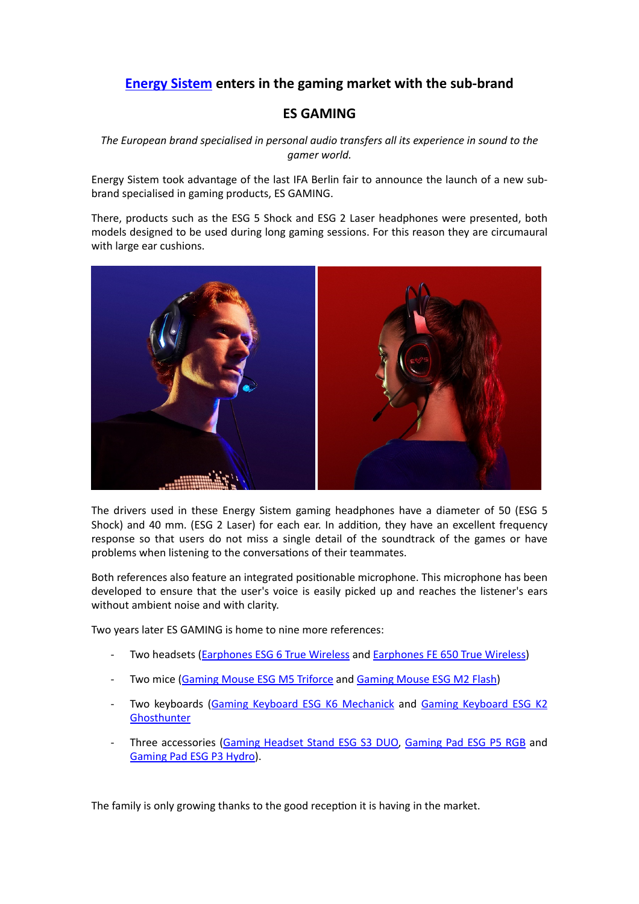## **[Energy Sistem](https://www.energysistem.com/en_es/) enters in the gaming market with the sub-brand**

## **ES GAMING**

*The European brand specialised in personal audio transfers all its experience in sound to the gamer world.* 

Energy Sistem took advantage of the last IFA Berlin fair to announce the launch of a new subbrand specialised in gaming products, ES GAMING.

There, products such as the ESG 5 Shock and ESG 2 Laser headphones were presented, both models designed to be used during long gaming sessions. For this reason they are circumaural with large ear cushions.



The drivers used in these Energy Sistem gaming headphones have a diameter of 50 (ESG 5 Shock) and 40 mm. (ESG 2 Laser) for each ear. In addition, they have an excellent frequency response so that users do not miss a single detail of the soundtrack of the games or have problems when listening to the conversations of their teammates.

Both references also feature an integrated positionable microphone. This microphone has been developed to ensure that the user's voice is easily picked up and reaches the listener's ears without ambient noise and with clarity.

Two years later ES GAMING is home to nine more references:

- Two headsets ([Earphones ESG 6 True Wireless](https://www.energysistem.com/en_es/gaming-earphones-esg-6-true-wireless-45153) and [Earphones FE 650 True Wireless\)](https://www.energysistem.com/en_es/earphones-fe-650-true-wireless-45266)
- Two mice [\(Gaming Mouse ESG M5 Triforce](https://www.energysistem.com/en_es/gaming-mouse-esg-m5-triforce-45207) and [Gaming Mouse ESG M2 Flash\)](https://www.energysistem.com/en_es/gaming-mouse-esg-m2-flash-45206)
- Two keyboards ([Gaming Keyboard ESG K6 Mechanick](https://www.energysistem.com/en_es/gaming-keyboard-esg-k6-mechanik-45210) and Gaming Keyboard ESG K2 **[Ghosthunter](https://www.energysistem.com/en_es/gaming-keyboard-esg-k2-ghosthunter-45208)**
- Three accessories ([Gaming Headset Stand ESG S3 DUO,](https://www.energysistem.com/en_es/gaming-headset-stand-esg-s3-duo-77928) [Gaming Pad ESG P5 RGB](https://www.energysistem.com/en_es/gaming-mouse-pad-esg-p5-rgb-77927) and [Gaming Pad ESG P3 Hydro](https://www.energysistem.com/en_es/gaming-mouse-pad-esg-p3-hydro-77926)).

The family is only growing thanks to the good reception it is having in the market.